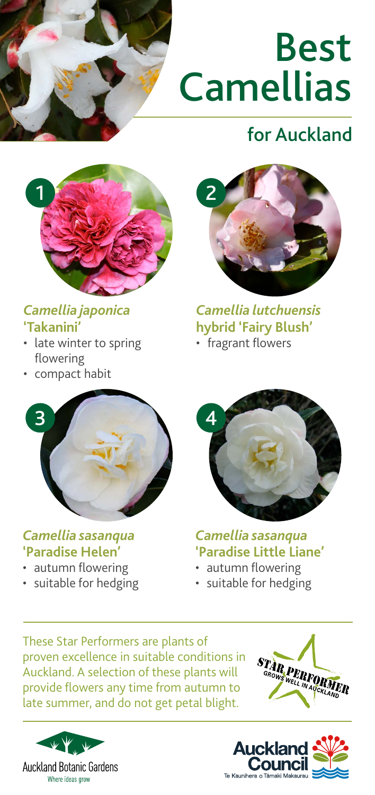

# Best **Camellias**

## for Auckland



#### *Camellia japonica* **'Takanini'**

- late winter to spring flowering
- compact habit



*Camellia lutchuensis*  **hybrid 'Fairy Blush'**  • fragrant flowers



#### *Camellia sasanqua*  **'Paradise Helen'**

- autumn flowering
- suitable for hedging



*Camellia sasanqua*  **'Paradise Little Liane'** 

- autumn flowering
- suitable for hedging

These Star Performers are plants of proven excellence in suitable conditions in Auckland. A selection of these plants will provide flowers any time from autumn to late summer, and do not get petal blight.





STAR PERFORMER